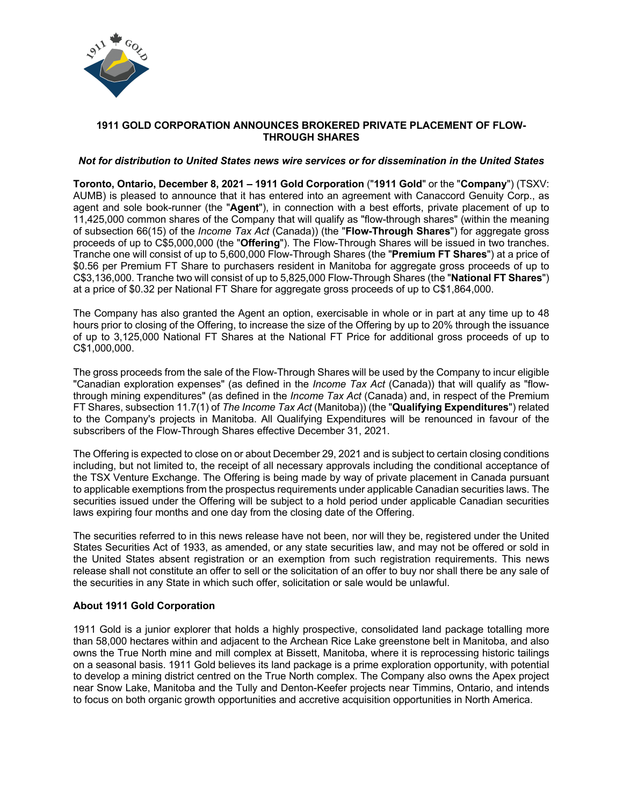

## **1911 GOLD CORPORATION ANNOUNCES BROKERED PRIVATE PLACEMENT OF FLOW-THROUGH SHARES**

## *Not for distribution to United States news wire services or for dissemination in the United States*

**Toronto, Ontario, December 8, 2021 – 1911 Gold Corporation** ("**1911 Gold**" or the "**Company**") (TSXV: AUMB) is pleased to announce that it has entered into an agreement with Canaccord Genuity Corp., as agent and sole book-runner (the "**Agent**"), in connection with a best efforts, private placement of up to 11,425,000 common shares of the Company that will qualify as "flow-through shares" (within the meaning of subsection 66(15) of the *Income Tax Act* (Canada)) (the "**Flow-Through Shares**") for aggregate gross proceeds of up to C\$5,000,000 (the "**Offering**"). The Flow-Through Shares will be issued in two tranches. Tranche one will consist of up to 5,600,000 Flow-Through Shares (the "**Premium FT Shares**") at a price of \$0.56 per Premium FT Share to purchasers resident in Manitoba for aggregate gross proceeds of up to C\$3,136,000. Tranche two will consist of up to 5,825,000 Flow-Through Shares (the "**National FT Shares**") at a price of \$0.32 per National FT Share for aggregate gross proceeds of up to C\$1,864,000.

The Company has also granted the Agent an option, exercisable in whole or in part at any time up to 48 hours prior to closing of the Offering, to increase the size of the Offering by up to 20% through the issuance of up to 3,125,000 National FT Shares at the National FT Price for additional gross proceeds of up to C\$1,000,000.

The gross proceeds from the sale of the Flow-Through Shares will be used by the Company to incur eligible "Canadian exploration expenses" (as defined in the *Income Tax Act* (Canada)) that will qualify as "flowthrough mining expenditures" (as defined in the *Income Tax Act* (Canada) and, in respect of the Premium FT Shares, subsection 11.7(1) of *The Income Tax Act* (Manitoba)) (the "**Qualifying Expenditures**") related to the Company's projects in Manitoba. All Qualifying Expenditures will be renounced in favour of the subscribers of the Flow-Through Shares effective December 31, 2021.

The Offering is expected to close on or about December 29, 2021 and is subject to certain closing conditions including, but not limited to, the receipt of all necessary approvals including the conditional acceptance of the TSX Venture Exchange. The Offering is being made by way of private placement in Canada pursuant to applicable exemptions from the prospectus requirements under applicable Canadian securities laws. The securities issued under the Offering will be subject to a hold period under applicable Canadian securities laws expiring four months and one day from the closing date of the Offering.

The securities referred to in this news release have not been, nor will they be, registered under the United States Securities Act of 1933, as amended, or any state securities law, and may not be offered or sold in the United States absent registration or an exemption from such registration requirements. This news release shall not constitute an offer to sell or the solicitation of an offer to buy nor shall there be any sale of the securities in any State in which such offer, solicitation or sale would be unlawful.

# **About 1911 Gold Corporation**

1911 Gold is a junior explorer that holds a highly prospective, consolidated land package totalling more than 58,000 hectares within and adjacent to the Archean Rice Lake greenstone belt in Manitoba, and also owns the True North mine and mill complex at Bissett, Manitoba, where it is reprocessing historic tailings on a seasonal basis. 1911 Gold believes its land package is a prime exploration opportunity, with potential to develop a mining district centred on the True North complex. The Company also owns the Apex project near Snow Lake, Manitoba and the Tully and Denton-Keefer projects near Timmins, Ontario, and intends to focus on both organic growth opportunities and accretive acquisition opportunities in North America.